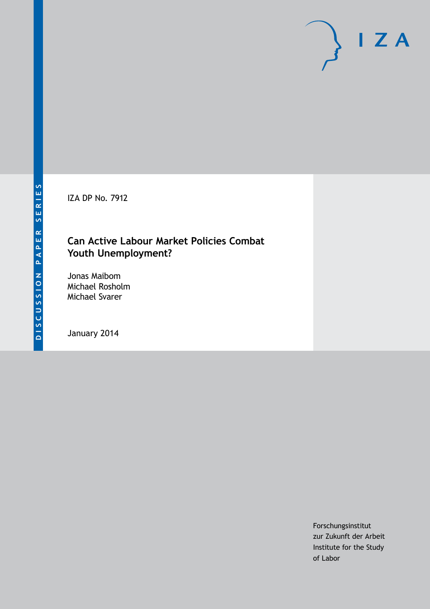IZA DP No. 7912

# **Can Active Labour Market Policies Combat Youth Unemployment?**

Jonas Maibom Michael Rosholm Michael Svarer

January 2014

Forschungsinstitut zur Zukunft der Arbeit Institute for the Study of Labor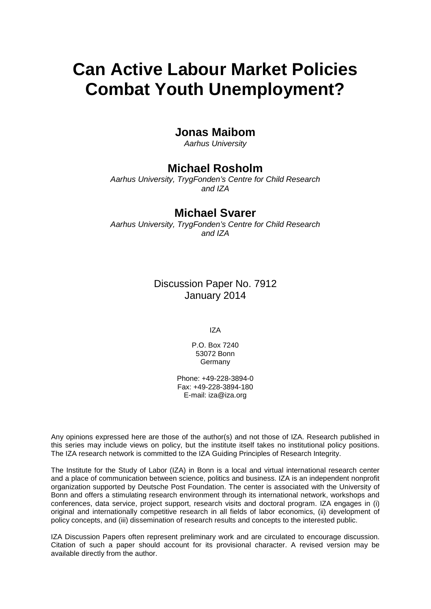# **Can Active Labour Market Policies Combat Youth Unemployment?**

### **Jonas Maibom**

*Aarhus University*

## **Michael Rosholm**

*Aarhus University, TrygFonden's Centre for Child Research and IZA*

### **Michael Svarer**

*Aarhus University, TrygFonden's Centre for Child Research and IZA*

> Discussion Paper No. 7912 January 2014

> > IZA

P.O. Box 7240 53072 Bonn Germany

Phone: +49-228-3894-0 Fax: +49-228-3894-180 E-mail: [iza@iza.org](mailto:iza@iza.org)

Any opinions expressed here are those of the author(s) and not those of IZA. Research published in this series may include views on policy, but the institute itself takes no institutional policy positions. The IZA research network is committed to the IZA Guiding Principles of Research Integrity.

The Institute for the Study of Labor (IZA) in Bonn is a local and virtual international research center and a place of communication between science, politics and business. IZA is an independent nonprofit organization supported by Deutsche Post Foundation. The center is associated with the University of Bonn and offers a stimulating research environment through its international network, workshops and conferences, data service, project support, research visits and doctoral program. IZA engages in (i) original and internationally competitive research in all fields of labor economics, (ii) development of policy concepts, and (iii) dissemination of research results and concepts to the interested public.

IZA Discussion Papers often represent preliminary work and are circulated to encourage discussion. Citation of such a paper should account for its provisional character. A revised version may be available directly from the author.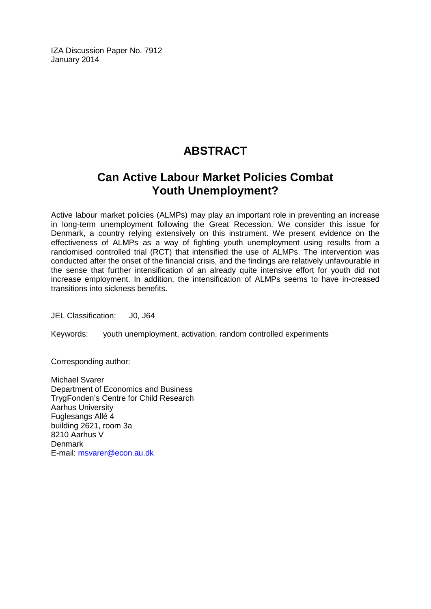IZA Discussion Paper No. 7912 January 2014

# **ABSTRACT**

# **Can Active Labour Market Policies Combat Youth Unemployment?**

Active labour market policies (ALMPs) may play an important role in preventing an increase in long-term unemployment following the Great Recession. We consider this issue for Denmark, a country relying extensively on this instrument. We present evidence on the effectiveness of ALMPs as a way of fighting youth unemployment using results from a randomised controlled trial (RCT) that intensified the use of ALMPs. The intervention was conducted after the onset of the financial crisis, and the findings are relatively unfavourable in the sense that further intensification of an already quite intensive effort for youth did not increase employment. In addition, the intensification of ALMPs seems to have in-creased transitions into sickness benefits.

JEL Classification: J0, J64

Keywords: youth unemployment, activation, random controlled experiments

Corresponding author:

Michael Svarer Department of Economics and Business TrygFonden's Centre for Child Research Aarhus University Fuglesangs Allé 4 building 2621, room 3a 8210 Aarhus V **Denmark** E-mail: [msvarer@econ.au.dk](mailto:msvarer@econ.au.dk)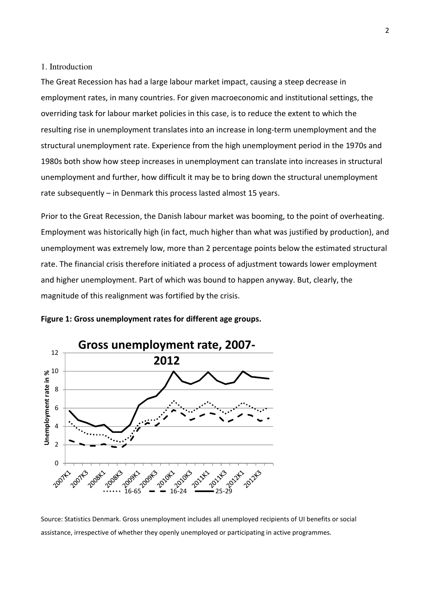#### 1. Introduction

The Great Recession has had a large labour market impact, causing a steep decrease in employment rates, in many countries. For given macroeconomic and institutional settings, the overriding task for labour market policies in this case, is to reduce the extent to which the resulting rise in unemployment translates into an increase in long-term unemployment and the structural unemployment rate. Experience from the high unemployment period in the 1970s and 1980s both show how steep increases in unemployment can translate into increases in structural unemployment and further, how difficult it may be to bring down the structural unemployment rate subsequently – in Denmark this process lasted almost 15 years.

Prior to the Great Recession, the Danish labour market was booming, to the point of overheating. Employment was historically high (in fact, much higher than what was justified by production), and unemployment was extremely low, more than 2 percentage points below the estimated structural rate. The financial crisis therefore initiated a process of adjustment towards lower employment and higher unemployment. Part of which was bound to happen anyway. But, clearly, the magnitude of this realignment was fortified by the crisis.



#### Figure 1: Gross unemployment rates for different age groups.

Source: Statistics Denmark. Gross unemployment includes all unemployed recipients of UI benefits or social assistance, irrespective of whether they openly unemployed or participating in active programmes.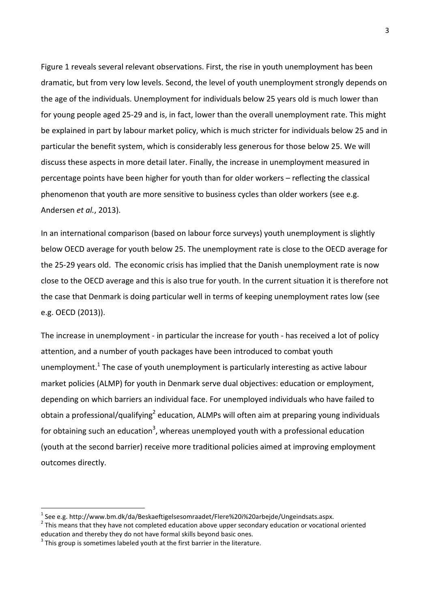Figure 1 reveals several relevant observations. First, the rise in youth unemployment has been dramatic, but from very low levels. Second, the level of youth unemployment strongly depends on the age of the individuals. Unemployment for individuals below 25 years old is much lower than for young people aged 25-29 and is, in fact, lower than the overall unemployment rate. This might be explained in part by labour market policy, which is much stricter for individuals below 25 and in particular the benefit system, which is considerably less generous for those below 25. We will discuss these aspects in more detail later. Finally, the increase in unemployment measured in percentage points have been higher for youth than for older workers – reflecting the classical phenomenon that youth are more sensitive to business cycles than older workers (see e.g. Andersen et al., 2013).

In an international comparison (based on labour force surveys) youth unemployment is slightly below OECD average for youth below 25. The unemployment rate is close to the OECD average for the 25-29 years old. The economic crisis has implied that the Danish unemployment rate is now close to the OECD average and this is also true for youth. In the current situation it is therefore not the case that Denmark is doing particular well in terms of keeping unemployment rates low (see e.g. OECD (2013)).

The increase in unemployment - in particular the increase for youth - has received a lot of policy attention, and a number of youth packages have been introduced to combat youth unemployment.<sup>1</sup> The case of youth unemployment is particularly interesting as active labour market policies (ALMP) for youth in Denmark serve dual objectives: education or employment, depending on which barriers an individual face. For unemployed individuals who have failed to obtain a professional/qualifying<sup>2</sup> education, ALMPs will often aim at preparing young individuals for obtaining such an education<sup>3</sup>, whereas unemployed youth with a professional education (youth at the second barrier) receive more traditional policies aimed at improving employment outcomes directly.

l

 $^{\rm 1}$  See e.g. http://www.bm.dk/da/Beskaeftigelsesomraadet/Flere%20i%20arbejde/Ungeindsats.aspx.

 $2$  This means that they have not completed education above upper secondary education or vocational oriented education and thereby they do not have formal skills beyond basic ones.

 $3$  This group is sometimes labeled youth at the first barrier in the literature.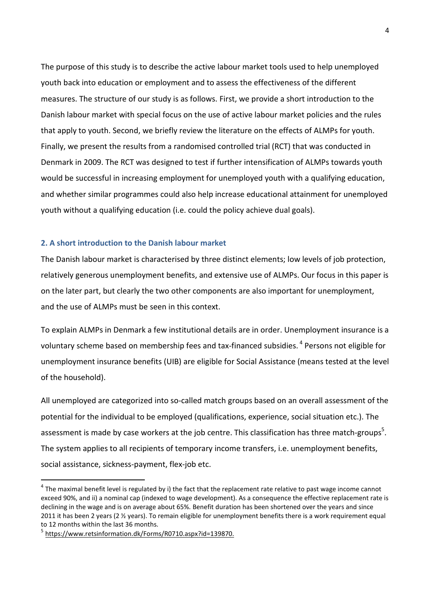The purpose of this study is to describe the active labour market tools used to help unemployed youth back into education or employment and to assess the effectiveness of the different measures. The structure of our study is as follows. First, we provide a short introduction to the Danish labour market with special focus on the use of active labour market policies and the rules that apply to youth. Second, we briefly review the literature on the effects of ALMPs for youth. Finally, we present the results from a randomised controlled trial (RCT) that was conducted in Denmark in 2009. The RCT was designed to test if further intensification of ALMPs towards youth would be successful in increasing employment for unemployed youth with a qualifying education, and whether similar programmes could also help increase educational attainment for unemployed youth without a qualifying education (i.e. could the policy achieve dual goals).

#### 2. A short introduction to the Danish labour market

The Danish labour market is characterised by three distinct elements; low levels of job protection, relatively generous unemployment benefits, and extensive use of ALMPs. Our focus in this paper is on the later part, but clearly the two other components are also important for unemployment, and the use of ALMPs must be seen in this context.

To explain ALMPs in Denmark a few institutional details are in order. Unemployment insurance is a voluntary scheme based on membership fees and tax-financed subsidies.<sup>4</sup> Persons not eligible for unemployment insurance benefits (UIB) are eligible for Social Assistance (means tested at the level of the household).

All unemployed are categorized into so-called match groups based on an overall assessment of the potential for the individual to be employed (qualifications, experience, social situation etc.). The assessment is made by case workers at the job centre. This classification has three match-groups<sup>5</sup>. The system applies to all recipients of temporary income transfers, i.e. unemployment benefits, social assistance, sickness-payment, flex-job etc.

l

 $^4$  The maximal benefit level is regulated by i) the fact that the replacement rate relative to past wage income cannot exceed 90%, and ii) a nominal cap (indexed to wage development). As a consequence the effective replacement rate is declining in the wage and is on average about 65%. Benefit duration has been shortened over the years and since 2011 it has been 2 years (2  $\frac{1}{2}$  years). To remain eligible for unemployment benefits there is a work requirement equal to 12 months within the last 36 months.

<sup>&</sup>lt;sup>5</sup> https://www.retsinformation.dk/Forms/R0710.aspx?id=139870.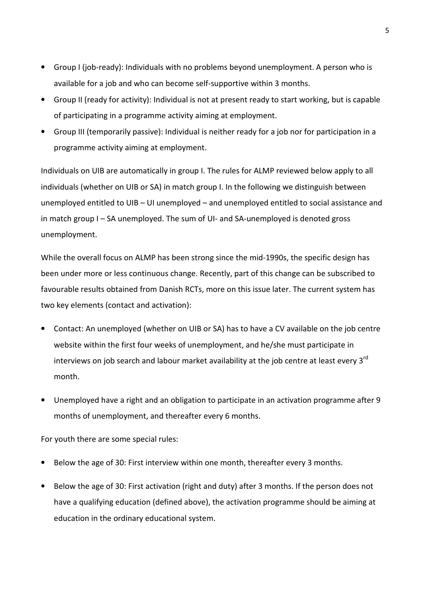- Group I (job-ready): Individuals with no problems beyond unemployment. A person who is available for a job and who can become self-supportive within 3 months.
- Group II (ready for activity): Individual is not at present ready to start working, but is capable of participating in a programme activity aiming at employment.
- Group III (temporarily passive): Individual is neither ready for a job nor for participation in a programme activity aiming at employment.

Individuals on UIB are automatically in group I. The rules for ALMP reviewed below apply to all individuals (whether on UIB or SA) in match group I. In the following we distinguish between unemployed entitled to UIB – UI unemployed – and unemployed entitled to social assistance and in match group I – SA unemployed. The sum of UI- and SA-unemployed is denoted gross unemployment.

While the overall focus on ALMP has been strong since the mid-1990s, the specific design has been under more or less continuous change. Recently, part of this change can be subscribed to favourable results obtained from Danish RCTs, more on this issue later. The current system has two key elements (contact and activation):

- Contact: An unemployed (whether on UIB or SA) has to have a CV available on the job centre website within the first four weeks of unemployment, and he/she must participate in interviews on job search and labour market availability at the job centre at least every 3<sup>rd</sup> month.
- Unemployed have a right and an obligation to participate in an activation programme after 9 months of unemployment, and thereafter every 6 months.

For youth there are some special rules:

- Below the age of 30: First interview within one month, thereafter every 3 months.
- Below the age of 30: First activation (right and duty) after 3 months. If the person does not have a qualifying education (defined above), the activation programme should be aiming at education in the ordinary educational system.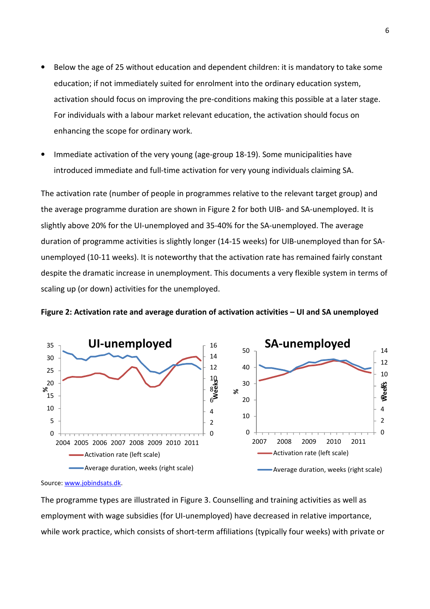- Below the age of 25 without education and dependent children: it is mandatory to take some education; if not immediately suited for enrolment into the ordinary education system, activation should focus on improving the pre-conditions making this possible at a later stage. For individuals with a labour market relevant education, the activation should focus on enhancing the scope for ordinary work.
- Immediate activation of the very young (age-group 18-19). Some municipalities have introduced immediate and full-time activation for very young individuals claiming SA.

The activation rate (number of people in programmes relative to the relevant target group) and the average programme duration are shown in Figure 2 for both UIB- and SA-unemployed. It is slightly above 20% for the UI-unemployed and 35-40% for the SA-unemployed. The average duration of programme activities is slightly longer (14-15 weeks) for UIB-unemployed than for SAunemployed (10-11 weeks). It is noteworthy that the activation rate has remained fairly constant despite the dramatic increase in unemployment. This documents a very flexible system in terms of scaling up (or down) activities for the unemployed.





Source: www.jobindsats.dk.

The programme types are illustrated in Figure 3. Counselling and training activities as well as employment with wage subsidies (for UI-unemployed) have decreased in relative importance, while work practice, which consists of short-term affiliations (typically four weeks) with private or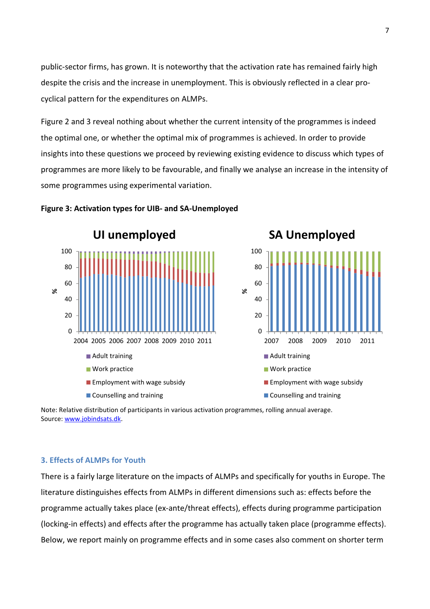public-sector firms, has grown. It is noteworthy that the activation rate has remained fairly high despite the crisis and the increase in unemployment. This is obviously reflected in a clear procyclical pattern for the expenditures on ALMPs.

Figure 2 and 3 reveal nothing about whether the current intensity of the programmes is indeed the optimal one, or whether the optimal mix of programmes is achieved. In order to provide insights into these questions we proceed by reviewing existing evidence to discuss which types of programmes are more likely to be favourable, and finally we analyse an increase in the intensity of some programmes using experimental variation.



#### Figure 3: Activation types for UIB- and SA-Unemployed



Note: Relative distribution of participants in various activation programmes, rolling annual average. Source: www.jobindsats.dk.

#### 3. Effects of ALMPs for Youth

There is a fairly large literature on the impacts of ALMPs and specifically for youths in Europe. The literature distinguishes effects from ALMPs in different dimensions such as: effects before the programme actually takes place (ex-ante/threat effects), effects during programme participation (locking-in effects) and effects after the programme has actually taken place (programme effects). Below, we report mainly on programme effects and in some cases also comment on shorter term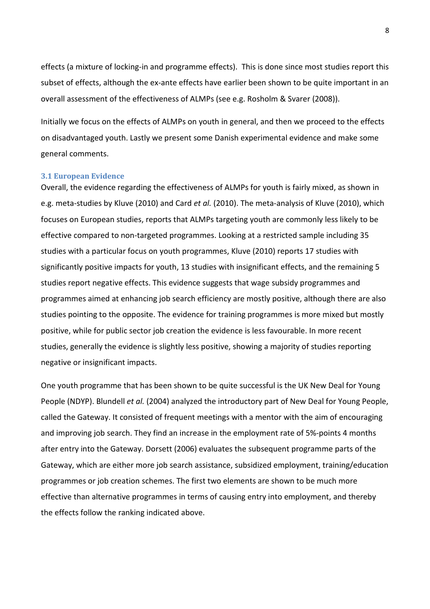effects (a mixture of locking-in and programme effects). This is done since most studies report this subset of effects, although the ex-ante effects have earlier been shown to be quite important in an overall assessment of the effectiveness of ALMPs (see e.g. Rosholm & Svarer (2008)).

Initially we focus on the effects of ALMPs on youth in general, and then we proceed to the effects on disadvantaged youth. Lastly we present some Danish experimental evidence and make some general comments.

#### 3.1 European Evidence

Overall, the evidence regarding the effectiveness of ALMPs for youth is fairly mixed, as shown in e.g. meta-studies by Kluve (2010) and Card et al. (2010). The meta-analysis of Kluve (2010), which focuses on European studies, reports that ALMPs targeting youth are commonly less likely to be effective compared to non-targeted programmes. Looking at a restricted sample including 35 studies with a particular focus on youth programmes, Kluve (2010) reports 17 studies with significantly positive impacts for youth, 13 studies with insignificant effects, and the remaining 5 studies report negative effects. This evidence suggests that wage subsidy programmes and programmes aimed at enhancing job search efficiency are mostly positive, although there are also studies pointing to the opposite. The evidence for training programmes is more mixed but mostly positive, while for public sector job creation the evidence is less favourable. In more recent studies, generally the evidence is slightly less positive, showing a majority of studies reporting negative or insignificant impacts.

One youth programme that has been shown to be quite successful is the UK New Deal for Young People (NDYP). Blundell et al. (2004) analyzed the introductory part of New Deal for Young People, called the Gateway. It consisted of frequent meetings with a mentor with the aim of encouraging and improving job search. They find an increase in the employment rate of 5%-points 4 months after entry into the Gateway. Dorsett (2006) evaluates the subsequent programme parts of the Gateway, which are either more job search assistance, subsidized employment, training/education programmes or job creation schemes. The first two elements are shown to be much more effective than alternative programmes in terms of causing entry into employment, and thereby the effects follow the ranking indicated above.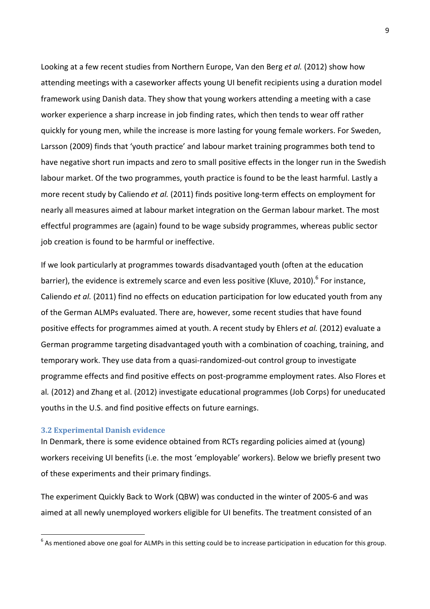Looking at a few recent studies from Northern Europe, Van den Berg et al. (2012) show how attending meetings with a caseworker affects young UI benefit recipients using a duration model framework using Danish data. They show that young workers attending a meeting with a case worker experience a sharp increase in job finding rates, which then tends to wear off rather quickly for young men, while the increase is more lasting for young female workers. For Sweden, Larsson (2009) finds that 'youth practice' and labour market training programmes both tend to have negative short run impacts and zero to small positive effects in the longer run in the Swedish labour market. Of the two programmes, youth practice is found to be the least harmful. Lastly a more recent study by Caliendo et al. (2011) finds positive long-term effects on employment for nearly all measures aimed at labour market integration on the German labour market. The most effectful programmes are (again) found to be wage subsidy programmes, whereas public sector job creation is found to be harmful or ineffective.

If we look particularly at programmes towards disadvantaged youth (often at the education barrier), the evidence is extremely scarce and even less positive (Kluve, 2010).<sup>6</sup> For instance, Caliendo et al. (2011) find no effects on education participation for low educated youth from any of the German ALMPs evaluated. There are, however, some recent studies that have found positive effects for programmes aimed at youth. A recent study by Ehlers et al. (2012) evaluate a German programme targeting disadvantaged youth with a combination of coaching, training, and temporary work. They use data from a quasi-randomized-out control group to investigate programme effects and find positive effects on post-programme employment rates. Also Flores et al. (2012) and Zhang et al. (2012) investigate educational programmes (Job Corps) for uneducated youths in the U.S. and find positive effects on future earnings.

#### 3.2 Experimental Danish evidence

 $\overline{a}$ 

In Denmark, there is some evidence obtained from RCTs regarding policies aimed at (young) workers receiving UI benefits (i.e. the most 'employable' workers). Below we briefly present two of these experiments and their primary findings.

The experiment Quickly Back to Work (QBW) was conducted in the winter of 2005-6 and was aimed at all newly unemployed workers eligible for UI benefits. The treatment consisted of an

 $^6$  As mentioned above one goal for ALMPs in this setting could be to increase participation in education for this group.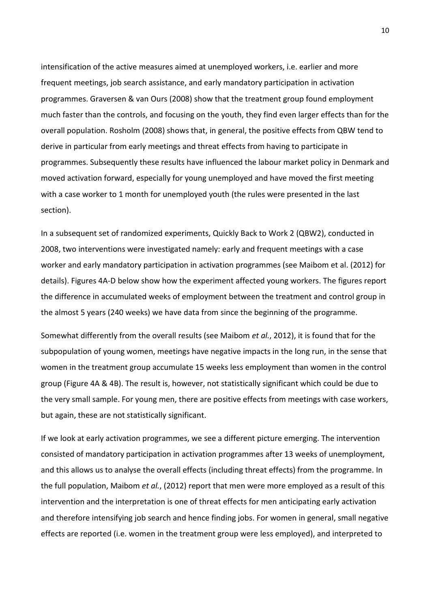intensification of the active measures aimed at unemployed workers, i.e. earlier and more frequent meetings, job search assistance, and early mandatory participation in activation programmes. Graversen & van Ours (2008) show that the treatment group found employment much faster than the controls, and focusing on the youth, they find even larger effects than for the overall population. Rosholm (2008) shows that, in general, the positive effects from QBW tend to derive in particular from early meetings and threat effects from having to participate in programmes. Subsequently these results have influenced the labour market policy in Denmark and moved activation forward, especially for young unemployed and have moved the first meeting with a case worker to 1 month for unemployed youth (the rules were presented in the last section).

In a subsequent set of randomized experiments, Quickly Back to Work 2 (QBW2), conducted in 2008, two interventions were investigated namely: early and frequent meetings with a case worker and early mandatory participation in activation programmes (see Maibom et al. (2012) for details). Figures 4A-D below show how the experiment affected young workers. The figures report the difference in accumulated weeks of employment between the treatment and control group in the almost 5 years (240 weeks) we have data from since the beginning of the programme.

Somewhat differently from the overall results (see Maibom et al., 2012), it is found that for the subpopulation of young women, meetings have negative impacts in the long run, in the sense that women in the treatment group accumulate 15 weeks less employment than women in the control group (Figure 4A & 4B). The result is, however, not statistically significant which could be due to the very small sample. For young men, there are positive effects from meetings with case workers, but again, these are not statistically significant.

If we look at early activation programmes, we see a different picture emerging. The intervention consisted of mandatory participation in activation programmes after 13 weeks of unemployment, and this allows us to analyse the overall effects (including threat effects) from the programme. In the full population, Maibom et al., (2012) report that men were more employed as a result of this intervention and the interpretation is one of threat effects for men anticipating early activation and therefore intensifying job search and hence finding jobs. For women in general, small negative effects are reported (i.e. women in the treatment group were less employed), and interpreted to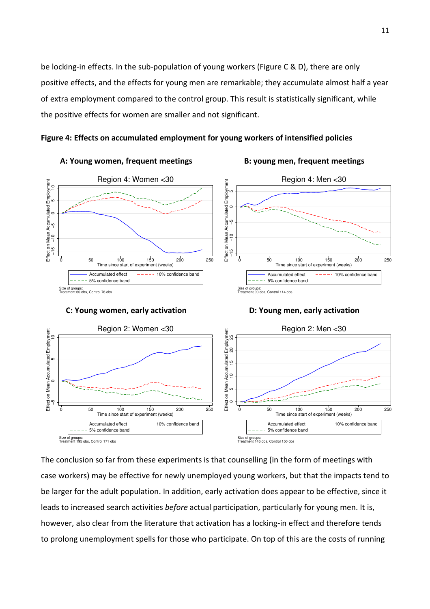be locking-in effects. In the sub-population of young workers (Figure C & D), there are only positive effects, and the effects for young men are remarkable; they accumulate almost half a year of extra employment compared to the control group. This result is statistically significant, while the positive effects for women are smaller and not significant.





The conclusion so far from these experiments is that counselling (in the form of meetings with case workers) may be effective for newly unemployed young workers, but that the impacts tend to be larger for the adult population. In addition, early activation does appear to be effective, since it leads to increased search activities before actual participation, particularly for young men. It is, however, also clear from the literature that activation has a locking-in effect and therefore tends

0 50 100 150 200 250 Time since start of experiment (weeks) Accumulated effect  $--- 10%$  confidence band

-- 5% confidence band

Size of groups: Treatment 146 obs, Control 150 obs

0 50 100 150 200 250 Time since start of experiment (weeks) Accumulated effect  $--- - 10%$  confidence band

- 5% confidence band

Size of groups: Treatment 195 obs, Control 171 obs

11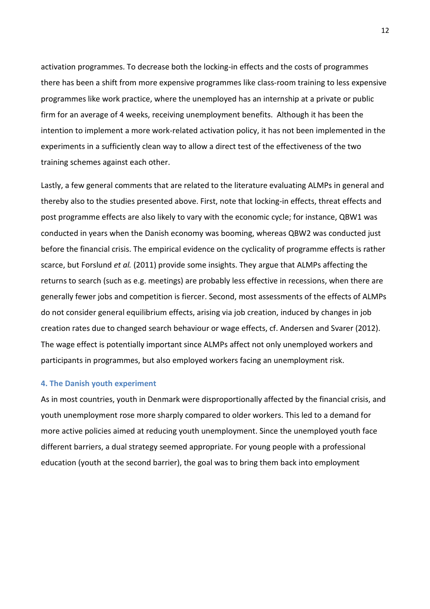activation programmes. To decrease both the locking-in effects and the costs of programmes there has been a shift from more expensive programmes like class-room training to less expensive programmes like work practice, where the unemployed has an internship at a private or public firm for an average of 4 weeks, receiving unemployment benefits. Although it has been the intention to implement a more work-related activation policy, it has not been implemented in the experiments in a sufficiently clean way to allow a direct test of the effectiveness of the two training schemes against each other.

Lastly, a few general comments that are related to the literature evaluating ALMPs in general and thereby also to the studies presented above. First, note that locking-in effects, threat effects and post programme effects are also likely to vary with the economic cycle; for instance, QBW1 was conducted in years when the Danish economy was booming, whereas QBW2 was conducted just before the financial crisis. The empirical evidence on the cyclicality of programme effects is rather scarce, but Forslund et al. (2011) provide some insights. They argue that ALMPs affecting the returns to search (such as e.g. meetings) are probably less effective in recessions, when there are generally fewer jobs and competition is fiercer. Second, most assessments of the effects of ALMPs do not consider general equilibrium effects, arising via job creation, induced by changes in job creation rates due to changed search behaviour or wage effects, cf. Andersen and Svarer (2012). The wage effect is potentially important since ALMPs affect not only unemployed workers and participants in programmes, but also employed workers facing an unemployment risk.

#### 4. The Danish youth experiment

As in most countries, youth in Denmark were disproportionally affected by the financial crisis, and youth unemployment rose more sharply compared to older workers. This led to a demand for more active policies aimed at reducing youth unemployment. Since the unemployed youth face different barriers, a dual strategy seemed appropriate. For young people with a professional education (youth at the second barrier), the goal was to bring them back into employment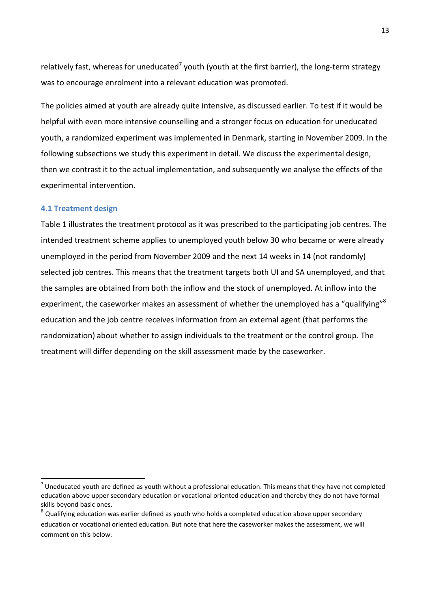relatively fast, whereas for uneducated<sup>7</sup> youth (youth at the first barrier), the long-term strategy was to encourage enrolment into a relevant education was promoted.

The policies aimed at youth are already quite intensive, as discussed earlier. To test if it would be helpful with even more intensive counselling and a stronger focus on education for uneducated youth, a randomized experiment was implemented in Denmark, starting in November 2009. In the following subsections we study this experiment in detail. We discuss the experimental design, then we contrast it to the actual implementation, and subsequently we analyse the effects of the experimental intervention.

#### 4.1 Treatment design

 $\overline{a}$ 

Table 1 illustrates the treatment protocol as it was prescribed to the participating job centres. The intended treatment scheme applies to unemployed youth below 30 who became or were already unemployed in the period from November 2009 and the next 14 weeks in 14 (not randomly) selected job centres. This means that the treatment targets both UI and SA unemployed, and that the samples are obtained from both the inflow and the stock of unemployed. At inflow into the experiment, the caseworker makes an assessment of whether the unemployed has a "qualifying"<sup>8</sup> education and the job centre receives information from an external agent (that performs the randomization) about whether to assign individuals to the treatment or the control group. The treatment will differ depending on the skill assessment made by the caseworker.

 $^7$  Uneducated youth are defined as youth without a professional education. This means that they have not completed education above upper secondary education or vocational oriented education and thereby they do not have formal skills beyond basic ones.

 $^8$  Qualifying education was earlier defined as youth who holds a completed education above upper secondary education or vocational oriented education. But note that here the caseworker makes the assessment, we will comment on this below.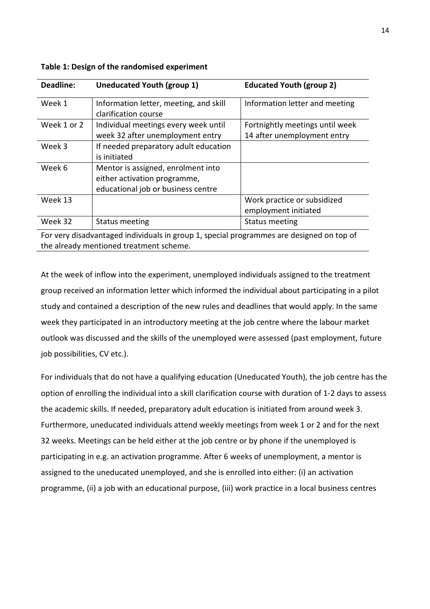| Deadline:   | Uneducated Youth (group 1)                                                                               | <b>Educated Youth (group 2)</b>                                |
|-------------|----------------------------------------------------------------------------------------------------------|----------------------------------------------------------------|
| Week 1      | Information letter, meeting, and skill<br>clarification course                                           | Information letter and meeting                                 |
| Week 1 or 2 | Individual meetings every week until<br>week 32 after unemployment entry                                 | Fortnightly meetings until week<br>14 after unemployment entry |
| Week 3      | If needed preparatory adult education<br>is initiated                                                    |                                                                |
| Week 6      | Mentor is assigned, enrolment into<br>either activation programme,<br>educational job or business centre |                                                                |
| Week 13     |                                                                                                          | Work practice or subsidized<br>employment initiated            |
| Week 32     | <b>Status meeting</b>                                                                                    | <b>Status meeting</b>                                          |

|  | Table 1: Design of the randomised experiment |  |
|--|----------------------------------------------|--|
|--|----------------------------------------------|--|

For very disadvantaged individuals in group 1, special programmes are designed on top of the already mentioned treatment scheme.

At the week of inflow into the experiment, unemployed individuals assigned to the treatment group received an information letter which informed the individual about participating in a pilot study and contained a description of the new rules and deadlines that would apply. In the same week they participated in an introductory meeting at the job centre where the labour market outlook was discussed and the skills of the unemployed were assessed (past employment, future job possibilities, CV etc.).

For individuals that do not have a qualifying education (Uneducated Youth), the job centre has the option of enrolling the individual into a skill clarification course with duration of 1-2 days to assess the academic skills. If needed, preparatory adult education is initiated from around week 3. Furthermore, uneducated individuals attend weekly meetings from week 1 or 2 and for the next 32 weeks. Meetings can be held either at the job centre or by phone if the unemployed is participating in e.g. an activation programme. After 6 weeks of unemployment, a mentor is assigned to the uneducated unemployed, and she is enrolled into either: (i) an activation programme, (ii) a job with an educational purpose, (iii) work practice in a local business centres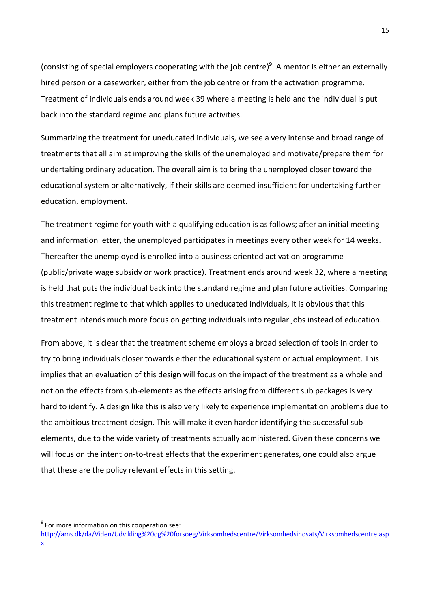(consisting of special employers cooperating with the job centre)<sup>9</sup>. A mentor is either an externally hired person or a caseworker, either from the job centre or from the activation programme. Treatment of individuals ends around week 39 where a meeting is held and the individual is put back into the standard regime and plans future activities.

Summarizing the treatment for uneducated individuals, we see a very intense and broad range of treatments that all aim at improving the skills of the unemployed and motivate/prepare them for undertaking ordinary education. The overall aim is to bring the unemployed closer toward the educational system or alternatively, if their skills are deemed insufficient for undertaking further education, employment.

The treatment regime for youth with a qualifying education is as follows; after an initial meeting and information letter, the unemployed participates in meetings every other week for 14 weeks. Thereafter the unemployed is enrolled into a business oriented activation programme (public/private wage subsidy or work practice). Treatment ends around week 32, where a meeting is held that puts the individual back into the standard regime and plan future activities. Comparing this treatment regime to that which applies to uneducated individuals, it is obvious that this treatment intends much more focus on getting individuals into regular jobs instead of education.

From above, it is clear that the treatment scheme employs a broad selection of tools in order to try to bring individuals closer towards either the educational system or actual employment. This implies that an evaluation of this design will focus on the impact of the treatment as a whole and not on the effects from sub-elements as the effects arising from different sub packages is very hard to identify. A design like this is also very likely to experience implementation problems due to the ambitious treatment design. This will make it even harder identifying the successful sub elements, due to the wide variety of treatments actually administered. Given these concerns we will focus on the intention-to-treat effects that the experiment generates, one could also argue that these are the policy relevant effects in this setting.

 $\overline{a}$ 

 $9$  For more information on this cooperation see:

http://ams.dk/da/Viden/Udvikling%20og%20forsoeg/Virksomhedscentre/Virksomhedsindsats/Virksomhedscentre.asp x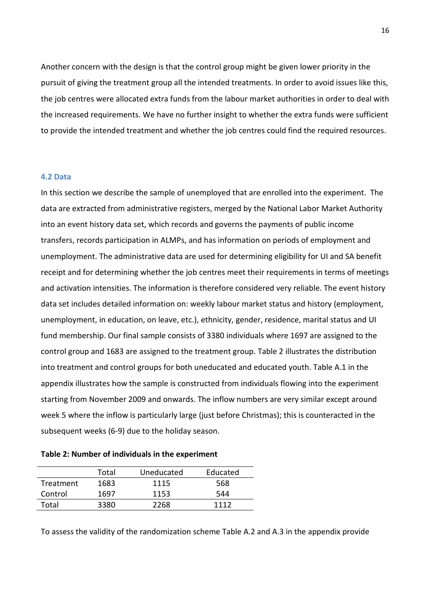Another concern with the design is that the control group might be given lower priority in the pursuit of giving the treatment group all the intended treatments. In order to avoid issues like this, the job centres were allocated extra funds from the labour market authorities in order to deal with the increased requirements. We have no further insight to whether the extra funds were sufficient to provide the intended treatment and whether the job centres could find the required resources.

#### 4.2 Data

In this section we describe the sample of unemployed that are enrolled into the experiment. The data are extracted from administrative registers, merged by the National Labor Market Authority into an event history data set, which records and governs the payments of public income transfers, records participation in ALMPs, and has information on periods of employment and unemployment. The administrative data are used for determining eligibility for UI and SA benefit receipt and for determining whether the job centres meet their requirements in terms of meetings and activation intensities. The information is therefore considered very reliable. The event history data set includes detailed information on: weekly labour market status and history (employment, unemployment, in education, on leave, etc.), ethnicity, gender, residence, marital status and UI fund membership. Our final sample consists of 3380 individuals where 1697 are assigned to the control group and 1683 are assigned to the treatment group. Table 2 illustrates the distribution into treatment and control groups for both uneducated and educated youth. Table A.1 in the appendix illustrates how the sample is constructed from individuals flowing into the experiment starting from November 2009 and onwards. The inflow numbers are very similar except around week 5 where the inflow is particularly large (just before Christmas); this is counteracted in the subsequent weeks (6-9) due to the holiday season.

|  |  |  | Table 2: Number of individuals in the experiment |
|--|--|--|--------------------------------------------------|
|--|--|--|--------------------------------------------------|

|           | Total | Uneducated | Educated |
|-----------|-------|------------|----------|
| Treatment | 1683  | 1115       | 568      |
| Control   | 1697  | 1153       | 544      |
| Total     | 3380  | 2268       | 1112     |

To assess the validity of the randomization scheme Table A.2 and A.3 in the appendix provide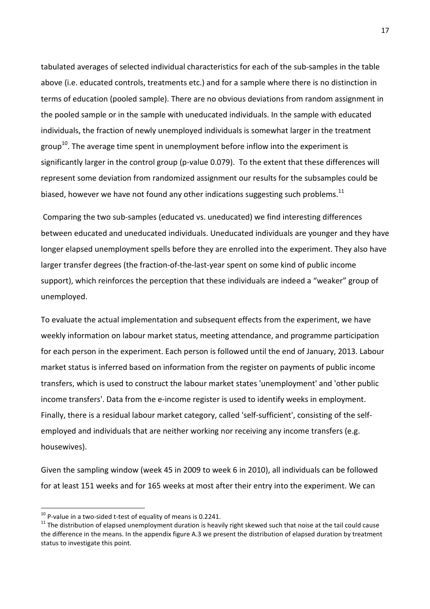tabulated averages of selected individual characteristics for each of the sub-samples in the table above (i.e. educated controls, treatments etc.) and for a sample where there is no distinction in terms of education (pooled sample). There are no obvious deviations from random assignment in the pooled sample or in the sample with uneducated individuals. In the sample with educated individuals, the fraction of newly unemployed individuals is somewhat larger in the treatment group<sup>10</sup>. The average time spent in unemployment before inflow into the experiment is significantly larger in the control group (p-value 0.079). To the extent that these differences will represent some deviation from randomized assignment our results for the subsamples could be biased, however we have not found any other indications suggesting such problems.<sup>11</sup>

 Comparing the two sub-samples (educated vs. uneducated) we find interesting differences between educated and uneducated individuals. Uneducated individuals are younger and they have longer elapsed unemployment spells before they are enrolled into the experiment. They also have larger transfer degrees (the fraction-of-the-last-year spent on some kind of public income support), which reinforces the perception that these individuals are indeed a "weaker" group of unemployed.

To evaluate the actual implementation and subsequent effects from the experiment, we have weekly information on labour market status, meeting attendance, and programme participation for each person in the experiment. Each person is followed until the end of January, 2013. Labour market status is inferred based on information from the register on payments of public income transfers, which is used to construct the labour market states 'unemployment' and 'other public income transfers'. Data from the e-income register is used to identify weeks in employment. Finally, there is a residual labour market category, called 'self-sufficient', consisting of the selfemployed and individuals that are neither working nor receiving any income transfers (e.g. housewives).

Given the sampling window (week 45 in 2009 to week 6 in 2010), all individuals can be followed for at least 151 weeks and for 165 weeks at most after their entry into the experiment. We can

l

 $10$  P-value in a two-sided t-test of equality of means is 0.2241.

 $11$  The distribution of elapsed unemployment duration is heavily right skewed such that noise at the tail could cause the difference in the means. In the appendix figure A.3 we present the distribution of elapsed duration by treatment status to investigate this point.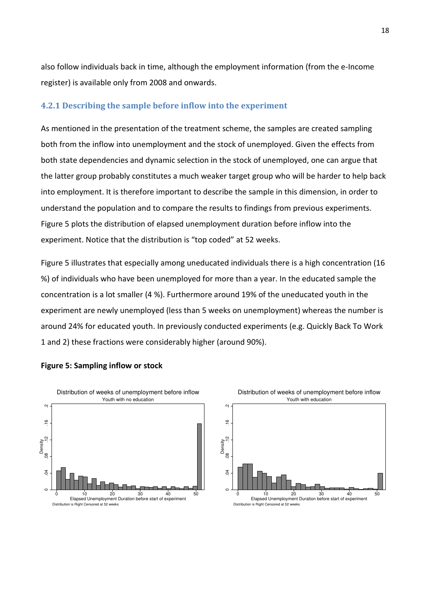also follow individuals back in time, although the employment information (from the e-Income register) is available only from 2008 and onwards.

### 4.2.1 Describing the sample before inflow into the experiment

As mentioned in the presentation of the treatment scheme, the samples are created sampling both from the inflow into unemployment and the stock of unemployed. Given the effects from both state dependencies and dynamic selection in the stock of unemployed, one can argue that the latter group probably constitutes a much weaker target group who will be harder to help back into employment. It is therefore important to describe the sample in this dimension, in order to understand the population and to compare the results to findings from previous experiments. Figure 5 plots the distribution of elapsed unemployment duration before inflow into the experiment. Notice that the distribution is "top coded" at 52 weeks.

Figure 5 illustrates that especially among uneducated individuals there is a high concentration (16 %) of individuals who have been unemployed for more than a year. In the educated sample the concentration is a lot smaller (4 %). Furthermore around 19% of the uneducated youth in the experiment are newly unemployed (less than 5 weeks on unemployment) whereas the number is around 24% for educated youth. In previously conducted experiments (e.g. Quickly Back To Work 1 and 2) these fractions were considerably higher (around 90%).



#### Figure 5: Sampling inflow or stock

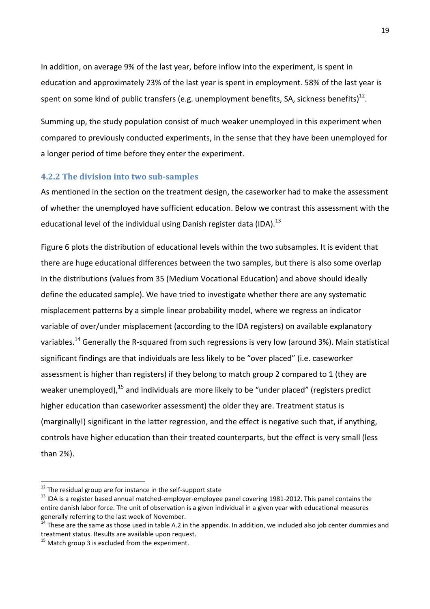In addition, on average 9% of the last year, before inflow into the experiment, is spent in education and approximately 23% of the last year is spent in employment. 58% of the last year is spent on some kind of public transfers (e.g. unemployment benefits, SA, sickness benefits) $^{12}$ .

Summing up, the study population consist of much weaker unemployed in this experiment when compared to previously conducted experiments, in the sense that they have been unemployed for a longer period of time before they enter the experiment.

#### 4.2.2 The division into two sub-samples

As mentioned in the section on the treatment design, the caseworker had to make the assessment of whether the unemployed have sufficient education. Below we contrast this assessment with the educational level of the individual using Danish register data (IDA). $^{13}$ 

Figure 6 plots the distribution of educational levels within the two subsamples. It is evident that there are huge educational differences between the two samples, but there is also some overlap in the distributions (values from 35 (Medium Vocational Education) and above should ideally define the educated sample). We have tried to investigate whether there are any systematic misplacement patterns by a simple linear probability model, where we regress an indicator variable of over/under misplacement (according to the IDA registers) on available explanatory variables.<sup>14</sup> Generally the R-squared from such regressions is very low (around 3%). Main statistical significant findings are that individuals are less likely to be "over placed" (i.e. caseworker assessment is higher than registers) if they belong to match group 2 compared to 1 (they are weaker unemploved).<sup>15</sup> and individuals are more likely to be "under placed" (registers predict higher education than caseworker assessment) the older they are. Treatment status is (marginally!) significant in the latter regression, and the effect is negative such that, if anything, controls have higher education than their treated counterparts, but the effect is very small (less than 2%).

 $\overline{a}$ 

 $12$  The residual group are for instance in the self-support state

<sup>&</sup>lt;sup>13</sup> IDA is a register based annual matched-employer-employee panel covering 1981-2012. This panel contains the entire danish labor force. The unit of observation is a given individual in a given year with educational measures generally referring to the last week of November.

 $14$  These are the same as those used in table A.2 in the appendix. In addition, we included also job center dummies and treatment status. Results are available upon request.

 $15$  Match group 3 is excluded from the experiment.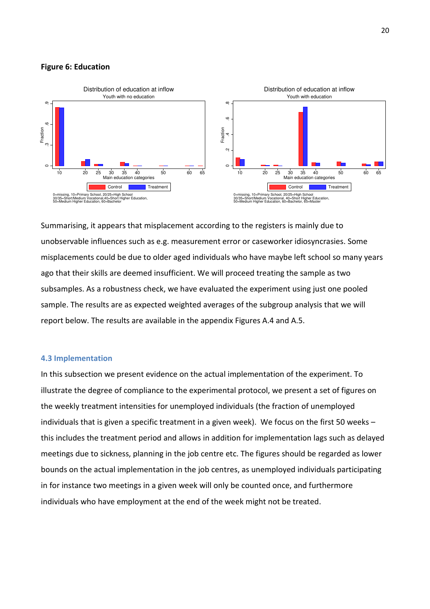#### Figure 6: Education



Summarising, it appears that misplacement according to the registers is mainly due to unobservable influences such as e.g. measurement error or caseworker idiosyncrasies. Some misplacements could be due to older aged individuals who have maybe left school so many years ago that their skills are deemed insufficient. We will proceed treating the sample as two subsamples. As a robustness check, we have evaluated the experiment using just one pooled sample. The results are as expected weighted averages of the subgroup analysis that we will report below. The results are available in the appendix Figures A.4 and A.5.

#### 4.3 Implementation

In this subsection we present evidence on the actual implementation of the experiment. To illustrate the degree of compliance to the experimental protocol, we present a set of figures on the weekly treatment intensities for unemployed individuals (the fraction of unemployed individuals that is given a specific treatment in a given week). We focus on the first 50 weeks – this includes the treatment period and allows in addition for implementation lags such as delayed meetings due to sickness, planning in the job centre etc. The figures should be regarded as lower bounds on the actual implementation in the job centres, as unemployed individuals participating in for instance two meetings in a given week will only be counted once, and furthermore individuals who have employment at the end of the week might not be treated.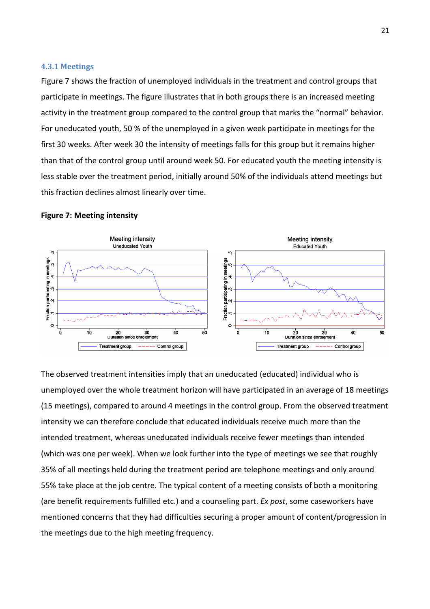#### 4.3.1 Meetings

Figure 7 shows the fraction of unemployed individuals in the treatment and control groups that participate in meetings. The figure illustrates that in both groups there is an increased meeting activity in the treatment group compared to the control group that marks the "normal" behavior. For uneducated youth, 50 % of the unemployed in a given week participate in meetings for the first 30 weeks. After week 30 the intensity of meetings falls for this group but it remains higher than that of the control group until around week 50. For educated youth the meeting intensity is less stable over the treatment period, initially around 50% of the individuals attend meetings but this fraction declines almost linearly over time.

#### Figure 7: Meeting intensity



The observed treatment intensities imply that an uneducated (educated) individual who is unemployed over the whole treatment horizon will have participated in an average of 18 meetings (15 meetings), compared to around 4 meetings in the control group. From the observed treatment intensity we can therefore conclude that educated individuals receive much more than the intended treatment, whereas uneducated individuals receive fewer meetings than intended (which was one per week). When we look further into the type of meetings we see that roughly 35% of all meetings held during the treatment period are telephone meetings and only around 55% take place at the job centre. The typical content of a meeting consists of both a monitoring (are benefit requirements fulfilled etc.) and a counseling part. Ex post, some caseworkers have mentioned concerns that they had difficulties securing a proper amount of content/progression in the meetings due to the high meeting frequency.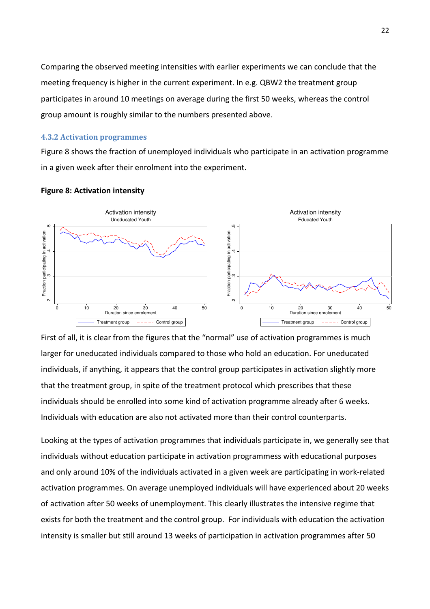Comparing the observed meeting intensities with earlier experiments we can conclude that the meeting frequency is higher in the current experiment. In e.g. QBW2 the treatment group participates in around 10 meetings on average during the first 50 weeks, whereas the control group amount is roughly similar to the numbers presented above.

#### 4.3.2 Activation programmes

Figure 8 shows the fraction of unemployed individuals who participate in an activation programme in a given week after their enrolment into the experiment.



#### Figure 8: Activation intensity

First of all, it is clear from the figures that the "normal" use of activation programmes is much larger for uneducated individuals compared to those who hold an education. For uneducated individuals, if anything, it appears that the control group participates in activation slightly more that the treatment group, in spite of the treatment protocol which prescribes that these individuals should be enrolled into some kind of activation programme already after 6 weeks. Individuals with education are also not activated more than their control counterparts.

Looking at the types of activation programmes that individuals participate in, we generally see that individuals without education participate in activation programmess with educational purposes and only around 10% of the individuals activated in a given week are participating in work-related activation programmes. On average unemployed individuals will have experienced about 20 weeks of activation after 50 weeks of unemployment. This clearly illustrates the intensive regime that exists for both the treatment and the control group. For individuals with education the activation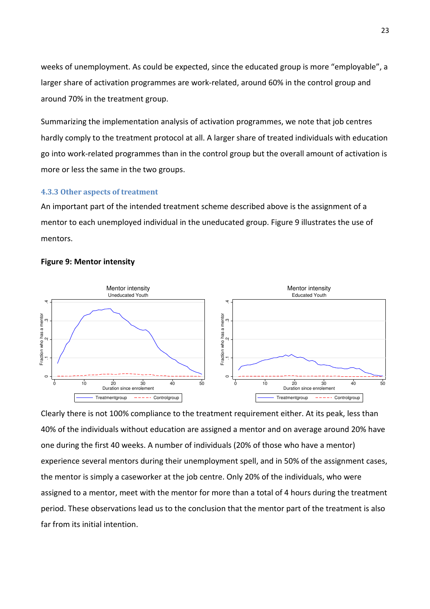weeks of unemployment. As could be expected, since the educated group is more "employable", a larger share of activation programmes are work-related, around 60% in the control group and around 70% in the treatment group.

Summarizing the implementation analysis of activation programmes, we note that job centres hardly comply to the treatment protocol at all. A larger share of treated individuals with education go into work-related programmes than in the control group but the overall amount of activation is more or less the same in the two groups.

#### 4.3.3 Other aspects of treatment

An important part of the intended treatment scheme described above is the assignment of a mentor to each unemployed individual in the uneducated group. Figure 9 illustrates the use of mentors.



#### Figure 9: Mentor intensity

Clearly there is not 100% compliance to the treatment requirement either. At its peak, less than 40% of the individuals without education are assigned a mentor and on average around 20% have one during the first 40 weeks. A number of individuals (20% of those who have a mentor) experience several mentors during their unemployment spell, and in 50% of the assignment cases, the mentor is simply a caseworker at the job centre. Only 20% of the individuals, who were assigned to a mentor, meet with the mentor for more than a total of 4 hours during the treatment period. These observations lead us to the conclusion that the mentor part of the treatment is also far from its initial intention.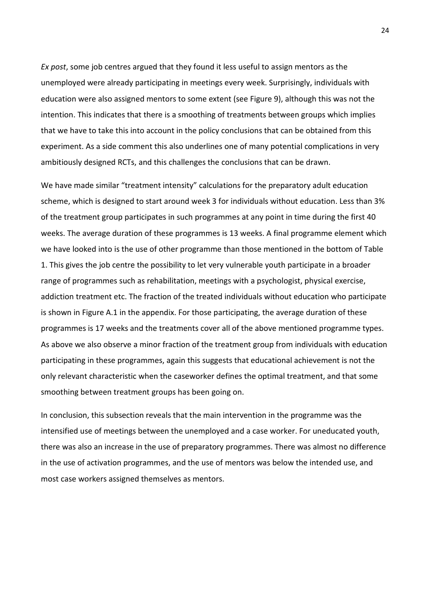Ex post, some job centres argued that they found it less useful to assign mentors as the unemployed were already participating in meetings every week. Surprisingly, individuals with education were also assigned mentors to some extent (see Figure 9), although this was not the intention. This indicates that there is a smoothing of treatments between groups which implies that we have to take this into account in the policy conclusions that can be obtained from this experiment. As a side comment this also underlines one of many potential complications in very ambitiously designed RCTs, and this challenges the conclusions that can be drawn.

We have made similar "treatment intensity" calculations for the preparatory adult education scheme, which is designed to start around week 3 for individuals without education. Less than 3% of the treatment group participates in such programmes at any point in time during the first 40 weeks. The average duration of these programmes is 13 weeks. A final programme element which we have looked into is the use of other programme than those mentioned in the bottom of Table 1. This gives the job centre the possibility to let very vulnerable youth participate in a broader range of programmes such as rehabilitation, meetings with a psychologist, physical exercise, addiction treatment etc. The fraction of the treated individuals without education who participate is shown in Figure A.1 in the appendix. For those participating, the average duration of these programmes is 17 weeks and the treatments cover all of the above mentioned programme types. As above we also observe a minor fraction of the treatment group from individuals with education participating in these programmes, again this suggests that educational achievement is not the only relevant characteristic when the caseworker defines the optimal treatment, and that some smoothing between treatment groups has been going on.

In conclusion, this subsection reveals that the main intervention in the programme was the intensified use of meetings between the unemployed and a case worker. For uneducated youth, there was also an increase in the use of preparatory programmes. There was almost no difference in the use of activation programmes, and the use of mentors was below the intended use, and most case workers assigned themselves as mentors.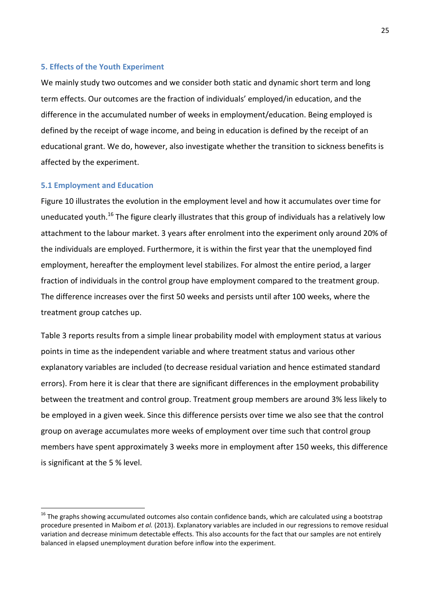#### 5. Effects of the Youth Experiment

We mainly study two outcomes and we consider both static and dynamic short term and long term effects. Our outcomes are the fraction of individuals' employed/in education, and the difference in the accumulated number of weeks in employment/education. Being employed is defined by the receipt of wage income, and being in education is defined by the receipt of an educational grant. We do, however, also investigate whether the transition to sickness benefits is affected by the experiment.

#### 5.1 Employment and Education

l

Figure 10 illustrates the evolution in the employment level and how it accumulates over time for uneducated youth.<sup>16</sup> The figure clearly illustrates that this group of individuals has a relatively low attachment to the labour market. 3 years after enrolment into the experiment only around 20% of the individuals are employed. Furthermore, it is within the first year that the unemployed find employment, hereafter the employment level stabilizes. For almost the entire period, a larger fraction of individuals in the control group have employment compared to the treatment group. The difference increases over the first 50 weeks and persists until after 100 weeks, where the treatment group catches up.

Table 3 reports results from a simple linear probability model with employment status at various points in time as the independent variable and where treatment status and various other explanatory variables are included (to decrease residual variation and hence estimated standard errors). From here it is clear that there are significant differences in the employment probability between the treatment and control group. Treatment group members are around 3% less likely to be employed in a given week. Since this difference persists over time we also see that the control group on average accumulates more weeks of employment over time such that control group members have spent approximately 3 weeks more in employment after 150 weeks, this difference is significant at the 5 % level.

 $16$  The graphs showing accumulated outcomes also contain confidence bands, which are calculated using a bootstrap procedure presented in Maibom et al. (2013). Explanatory variables are included in our regressions to remove residual variation and decrease minimum detectable effects. This also accounts for the fact that our samples are not entirely balanced in elapsed unemployment duration before inflow into the experiment.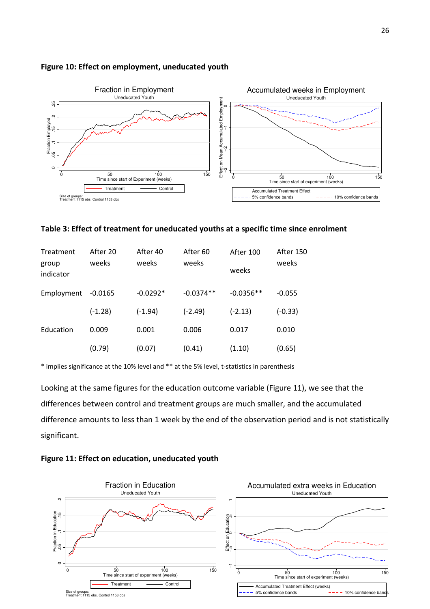

#### Figure 10: Effect on employment, uneducated youth

Table 3: Effect of treatment for uneducated youths at a specific time since enrolment

| Treatment<br>group<br>indicator | After 20<br>weeks | After 40<br>weeks | After <sub>60</sub><br>weeks | After 100<br>weeks | After 150<br>weeks |
|---------------------------------|-------------------|-------------------|------------------------------|--------------------|--------------------|
| Employment                      | $-0.0165$         | $-0.0292*$        | $-0.0374**$                  | $-0.0356**$        | $-0.055$           |
|                                 | $(-1.28)$         | $(-1.94)$         | $(-2.49)$                    | $(-2.13)$          | $(-0.33)$          |
| Education                       | 0.009             | 0.001             | 0.006                        | 0.017              | 0.010              |
|                                 | (0.79)            | (0.07)            | (0.41)                       | (1.10)             | (0.65)             |

\* implies significance at the 10% level and \*\* at the 5% level, t-statistics in parenthesis

Looking at the same figures for the education outcome variable (Figure 11), we see that the differences between control and treatment groups are much smaller, and the accumulated difference amounts to less than 1 week by the end of the observation period and is not statistically significant.



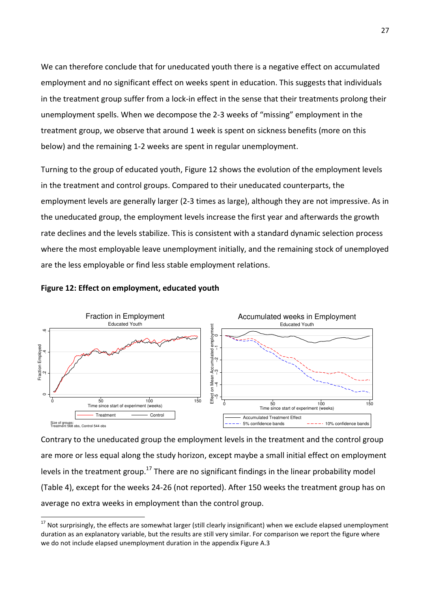We can therefore conclude that for uneducated youth there is a negative effect on accumulated employment and no significant effect on weeks spent in education. This suggests that individuals in the treatment group suffer from a lock-in effect in the sense that their treatments prolong their unemployment spells. When we decompose the 2-3 weeks of "missing" employment in the treatment group, we observe that around 1 week is spent on sickness benefits (more on this below) and the remaining 1-2 weeks are spent in regular unemployment.

Turning to the group of educated youth, Figure 12 shows the evolution of the employment levels in the treatment and control groups. Compared to their uneducated counterparts, the employment levels are generally larger (2-3 times as large), although they are not impressive. As in the uneducated group, the employment levels increase the first year and afterwards the growth rate declines and the levels stabilize. This is consistent with a standard dynamic selection process where the most employable leave unemployment initially, and the remaining stock of unemployed are the less employable or find less stable employment relations.

#### Figure 12: Effect on employment, educated youth

 $\overline{a}$ 



Contrary to the uneducated group the employment levels in the treatment and the control group are more or less equal along the study horizon, except maybe a small initial effect on employment levels in the treatment group.<sup>17</sup> There are no significant findings in the linear probability model (Table 4), except for the weeks 24-26 (not reported). After 150 weeks the treatment group has on average no extra weeks in employment than the control group.

<sup>&</sup>lt;sup>17</sup> Not surprisingly, the effects are somewhat larger (still clearly insignificant) when we exclude elapsed unemployment duration as an explanatory variable, but the results are still very similar. For comparison we report the figure where we do not include elapsed unemployment duration in the appendix Figure A.3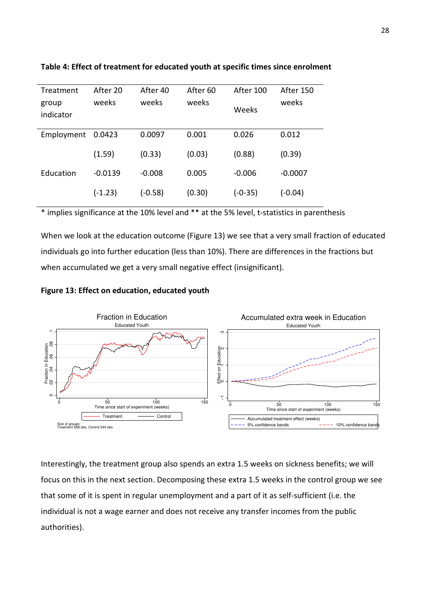| Treatment          | After 20  | After 40  | After 60 | After 100 | After 150 |
|--------------------|-----------|-----------|----------|-----------|-----------|
| group<br>indicator | weeks     | weeks     | weeks    | Weeks     | weeks     |
| Employment         | 0.0423    | 0.0097    | 0.001    | 0.026     | 0.012     |
|                    | (1.59)    | (0.33)    | (0.03)   | (0.88)    | (0.39)    |
| <b>Education</b>   | $-0.0139$ | $-0.008$  | 0.005    | $-0.006$  | $-0.0007$ |
|                    | $(-1.23)$ | $(-0.58)$ | (0.30)   | $(-0-35)$ | $(-0.04)$ |

#### Table 4: Effect of treatment for educated youth at specific times since enrolment

\* implies significance at the 10% level and \*\* at the 5% level, t-statistics in parenthesis

When we look at the education outcome (Figure 13) we see that a very small fraction of educated individuals go into further education (less than 10%). There are differences in the fractions but when accumulated we get a very small negative effect (insignificant).

#### Figure 13: Effect on education, educated youth



Interestingly, the treatment group also spends an extra 1.5 weeks on sickness benefits; we will focus on this in the next section. Decomposing these extra 1.5 weeks in the control group we see that some of it is spent in regular unemployment and a part of it as self-sufficient (i.e. the individual is not a wage earner and does not receive any transfer incomes from the public authorities).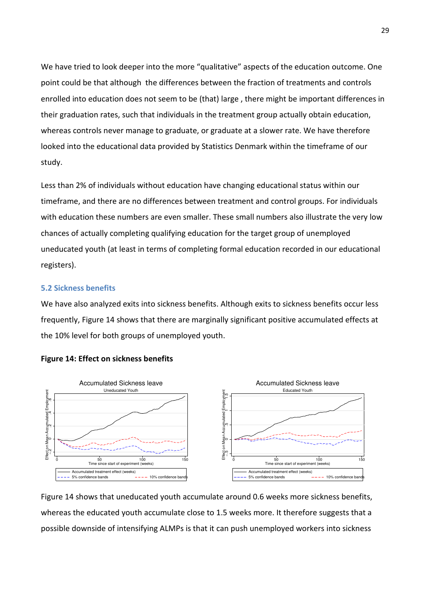We have tried to look deeper into the more "qualitative" aspects of the education outcome. One point could be that although the differences between the fraction of treatments and controls enrolled into education does not seem to be (that) large , there might be important differences in their graduation rates, such that individuals in the treatment group actually obtain education, whereas controls never manage to graduate, or graduate at a slower rate. We have therefore looked into the educational data provided by Statistics Denmark within the timeframe of our study.

Less than 2% of individuals without education have changing educational status within our timeframe, and there are no differences between treatment and control groups. For individuals with education these numbers are even smaller. These small numbers also illustrate the very low chances of actually completing qualifying education for the target group of unemployed uneducated youth (at least in terms of completing formal education recorded in our educational registers).

#### 5.2 Sickness benefits

We have also analyzed exits into sickness benefits. Although exits to sickness benefits occur less frequently, Figure 14 shows that there are marginally significant positive accumulated effects at the 10% level for both groups of unemployed youth.



#### Figure 14: Effect on sickness benefits

Figure 14 shows that uneducated youth accumulate around 0.6 weeks more sickness benefits, whereas the educated youth accumulate close to 1.5 weeks more. It therefore suggests that a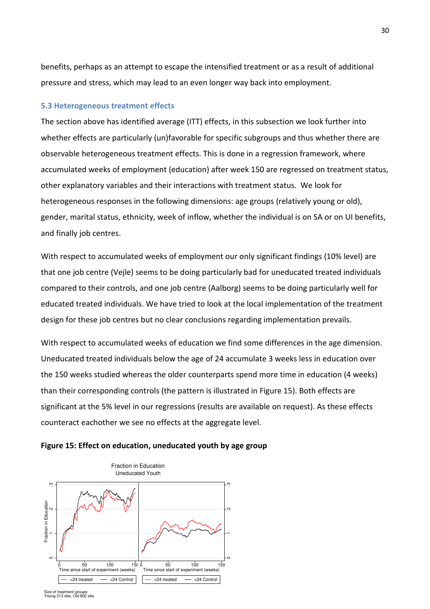benefits, perhaps as an attempt to escape the intensified treatment or as a result of additional pressure and stress, which may lead to an even longer way back into employment.

#### 5.3 Heterogeneous treatment effects

The section above has identified average (ITT) effects, in this subsection we look further into whether effects are particularly (un)favorable for specific subgroups and thus whether there are observable heterogeneous treatment effects. This is done in a regression framework, where accumulated weeks of employment (education) after week 150 are regressed on treatment status, other explanatory variables and their interactions with treatment status. We look for heterogeneous responses in the following dimensions: age groups (relatively young or old), gender, marital status, ethnicity, week of inflow, whether the individual is on SA or on UI benefits, and finally job centres.

With respect to accumulated weeks of employment our only significant findings (10% level) are that one job centre (Vejle) seems to be doing particularly bad for uneducated treated individuals compared to their controls, and one job centre (Aalborg) seems to be doing particularly well for educated treated individuals. We have tried to look at the local implementation of the treatment design for these job centres but no clear conclusions regarding implementation prevails.

With respect to accumulated weeks of education we find some differences in the age dimension. Uneducated treated individuals below the age of 24 accumulate 3 weeks less in education over the 150 weeks studied whereas the older counterparts spend more time in education (4 weeks) than their corresponding controls (the pattern is illustrated in Figure 15). Both effects are significant at the 5% level in our regressions (results are available on request). As these effects counteract eachother we see no effects at the aggregate level.



#### Figure 15: Effect on education, uneducated youth by age group

Size of treatment groups: Young 313 obs, Old 802 obs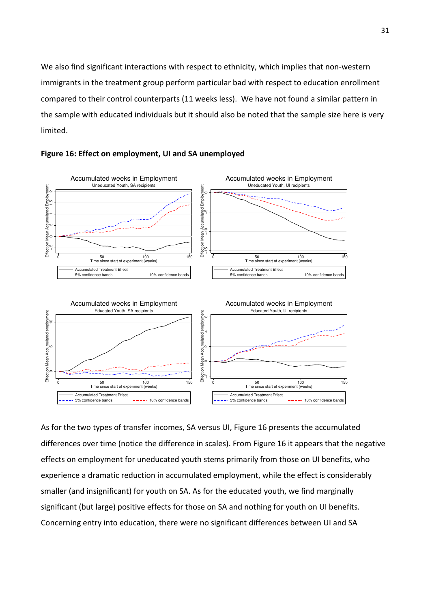We also find significant interactions with respect to ethnicity, which implies that non-western immigrants in the treatment group perform particular bad with respect to education enrollment compared to their control counterparts (11 weeks less). We have not found a similar pattern in the sample with educated individuals but it should also be noted that the sample size here is very limited.



#### Figure 16: Effect on employment, UI and SA unemployed

As for the two types of transfer incomes, SA versus UI, Figure 16 presents the accumulated differences over time (notice the difference in scales). From Figure 16 it appears that the negative effects on employment for uneducated youth stems primarily from those on UI benefits, who experience a dramatic reduction in accumulated employment, while the effect is considerably smaller (and insignificant) for youth on SA. As for the educated youth, we find marginally significant (but large) positive effects for those on SA and nothing for youth on UI benefits.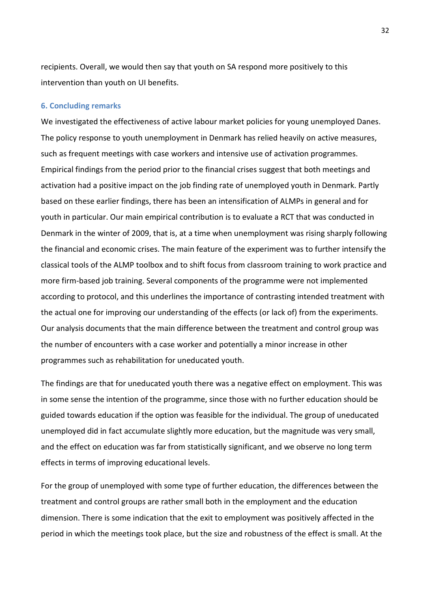recipients. Overall, we would then say that youth on SA respond more positively to this intervention than youth on UI benefits.

#### 6. Concluding remarks

We investigated the effectiveness of active labour market policies for young unemployed Danes. The policy response to youth unemployment in Denmark has relied heavily on active measures, such as frequent meetings with case workers and intensive use of activation programmes. Empirical findings from the period prior to the financial crises suggest that both meetings and activation had a positive impact on the job finding rate of unemployed youth in Denmark. Partly based on these earlier findings, there has been an intensification of ALMPs in general and for youth in particular. Our main empirical contribution is to evaluate a RCT that was conducted in Denmark in the winter of 2009, that is, at a time when unemployment was rising sharply following the financial and economic crises. The main feature of the experiment was to further intensify the classical tools of the ALMP toolbox and to shift focus from classroom training to work practice and more firm-based job training. Several components of the programme were not implemented according to protocol, and this underlines the importance of contrasting intended treatment with the actual one for improving our understanding of the effects (or lack of) from the experiments. Our analysis documents that the main difference between the treatment and control group was the number of encounters with a case worker and potentially a minor increase in other programmes such as rehabilitation for uneducated youth.

The findings are that for uneducated youth there was a negative effect on employment. This was in some sense the intention of the programme, since those with no further education should be guided towards education if the option was feasible for the individual. The group of uneducated unemployed did in fact accumulate slightly more education, but the magnitude was very small, and the effect on education was far from statistically significant, and we observe no long term effects in terms of improving educational levels.

For the group of unemployed with some type of further education, the differences between the treatment and control groups are rather small both in the employment and the education dimension. There is some indication that the exit to employment was positively affected in the period in which the meetings took place, but the size and robustness of the effect is small. At the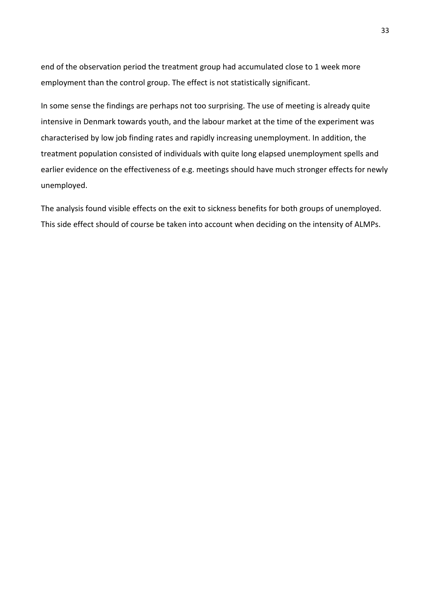end of the observation period the treatment group had accumulated close to 1 week more employment than the control group. The effect is not statistically significant.

In some sense the findings are perhaps not too surprising. The use of meeting is already quite intensive in Denmark towards youth, and the labour market at the time of the experiment was characterised by low job finding rates and rapidly increasing unemployment. In addition, the treatment population consisted of individuals with quite long elapsed unemployment spells and earlier evidence on the effectiveness of e.g. meetings should have much stronger effects for newly unemployed.

The analysis found visible effects on the exit to sickness benefits for both groups of unemployed. This side effect should of course be taken into account when deciding on the intensity of ALMPs.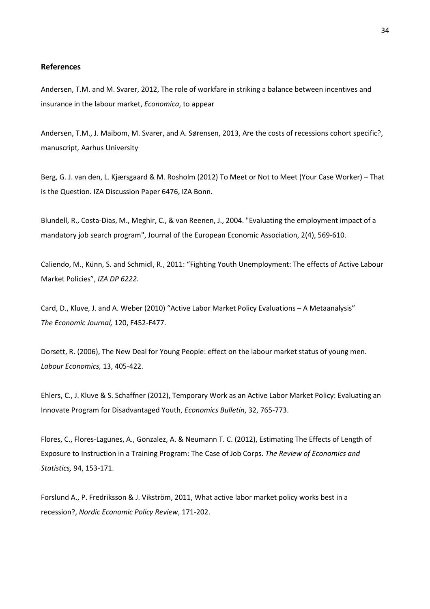#### References

Andersen, T.M. and M. Svarer, 2012, The role of workfare in striking a balance between incentives and insurance in the labour market, Economica, to appear

Andersen, T.M., J. Maibom, M. Svarer, and A. Sørensen, 2013, Are the costs of recessions cohort specific?, manuscript, Aarhus University

Berg, G. J. van den, L. Kjærsgaard & M. Rosholm (2012) To Meet or Not to Meet (Your Case Worker) – That is the Question. IZA Discussion Paper 6476, IZA Bonn.

Blundell, R., Costa-Dias, M., Meghir, C., & van Reenen, J., 2004. "Evaluating the employment impact of a mandatory job search program", Journal of the European Economic Association, 2(4), 569-610.

Caliendo, M., Künn, S. and Schmidl, R., 2011: "Fighting Youth Unemployment: The effects of Active Labour Market Policies", IZA DP 6222.

Card, D., Kluve, J. and A. Weber (2010) "Active Labor Market Policy Evaluations – A Metaanalysis" The Economic Journal, 120, F452-F477.

Dorsett, R. (2006), The New Deal for Young People: effect on the labour market status of young men. Labour Economics, 13, 405-422.

Ehlers, C., J. Kluve & S. Schaffner (2012), Temporary Work as an Active Labor Market Policy: Evaluating an Innovate Program for Disadvantaged Youth, Economics Bulletin, 32, 765-773.

Flores, C., Flores-Lagunes, A., Gonzalez, A. & Neumann T. C. (2012), Estimating The Effects of Length of Exposure to Instruction in a Training Program: The Case of Job Corps. The Review of Economics and Statistics, 94, 153-171.

Forslund A., P. Fredriksson & J. Vikström, 2011, What active labor market policy works best in a recession?, Nordic Economic Policy Review, 171-202.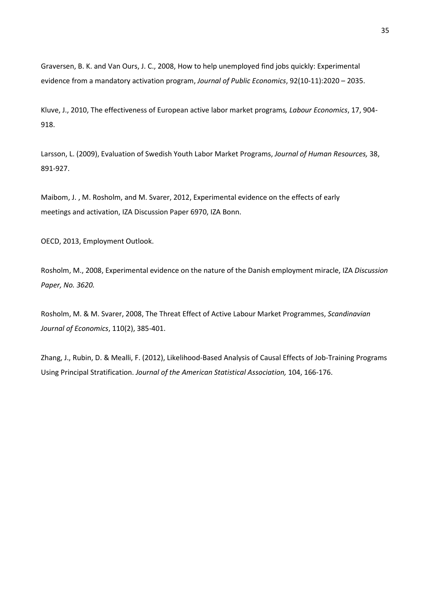Graversen, B. K. and Van Ours, J. C., 2008, How to help unemployed find jobs quickly: Experimental evidence from a mandatory activation program, Journal of Public Economics, 92(10-11):2020 – 2035.

Kluve, J., 2010, The effectiveness of European active labor market programs, Labour Economics, 17, 904- 918.

Larsson, L. (2009), Evaluation of Swedish Youth Labor Market Programs, Journal of Human Resources, 38, 891-927.

Maibom, J. , M. Rosholm, and M. Svarer, 2012, Experimental evidence on the effects of early meetings and activation, IZA Discussion Paper 6970, IZA Bonn.

OECD, 2013, Employment Outlook.

Rosholm, M., 2008, Experimental evidence on the nature of the Danish employment miracle, IZA Discussion Paper, No. 3620.

Rosholm, M. & M. Svarer, 2008, The Threat Effect of Active Labour Market Programmes, Scandinavian Journal of Economics, 110(2), 385-401.

Zhang, J., Rubin, D. & Mealli, F. (2012), Likelihood-Based Analysis of Causal Effects of Job-Training Programs Using Principal Stratification. Journal of the American Statistical Association, 104, 166-176.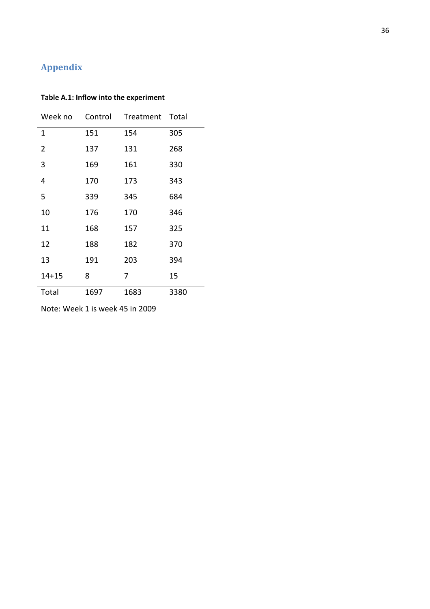# Appendix

### Table A.1: Inflow into the experiment

| Week no   | Control | Treatment | Total |
|-----------|---------|-----------|-------|
| 1         | 151     | 154       | 305   |
| 2         | 137     | 131       | 268   |
| 3         | 169     | 161       | 330   |
| 4         | 170     | 173       | 343   |
| 5         | 339     | 345       | 684   |
| 10        | 176     | 170       | 346   |
| 11        | 168     | 157       | 325   |
| 12        | 188     | 182       | 370   |
| 13        | 191     | 203       | 394   |
| $14 + 15$ | 8       | 7         | 15    |
| Total     | 1697    | 1683      | 3380  |

Note: Week 1 is week 45 in 2009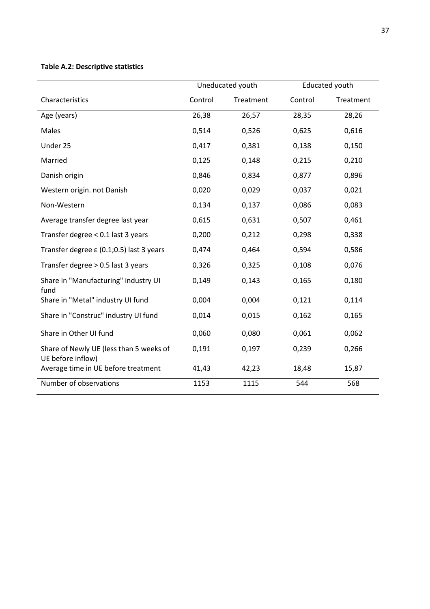### Table A.2: Descriptive statistics

|                                                              | Uneducated youth |           | <b>Educated youth</b> |           |
|--------------------------------------------------------------|------------------|-----------|-----------------------|-----------|
| Characteristics                                              | Control          | Treatment | Control               | Treatment |
| Age (years)                                                  | 26,38            | 26,57     | 28,35                 | 28,26     |
| Males                                                        | 0,514            | 0,526     | 0,625                 | 0,616     |
| Under 25                                                     | 0,417            | 0,381     | 0,138                 | 0,150     |
| Married                                                      | 0,125            | 0,148     | 0,215                 | 0,210     |
| Danish origin                                                | 0,846            | 0,834     | 0,877                 | 0,896     |
| Western origin. not Danish                                   | 0,020            | 0,029     | 0,037                 | 0,021     |
| Non-Western                                                  | 0,134            | 0,137     | 0,086                 | 0,083     |
| Average transfer degree last year                            | 0,615            | 0,631     | 0,507                 | 0,461     |
| Transfer degree < 0.1 last 3 years                           | 0,200            | 0,212     | 0,298                 | 0,338     |
| Transfer degree $\varepsilon$ (0.1;0.5) last 3 years         | 0,474            | 0,464     | 0,594                 | 0,586     |
| Transfer degree $> 0.5$ last 3 years                         | 0,326            | 0,325     | 0,108                 | 0,076     |
| Share in "Manufacturing" industry UI<br>fund                 | 0,149            | 0,143     | 0,165                 | 0,180     |
| Share in "Metal" industry UI fund                            | 0,004            | 0,004     | 0,121                 | 0,114     |
| Share in "Construc" industry UI fund                         | 0,014            | 0,015     | 0,162                 | 0,165     |
| Share in Other UI fund                                       | 0,060            | 0,080     | 0,061                 | 0,062     |
| Share of Newly UE (less than 5 weeks of<br>UE before inflow) | 0,191            | 0,197     | 0,239                 | 0,266     |
| Average time in UE before treatment                          | 41,43            | 42,23     | 18,48                 | 15,87     |
| Number of observations                                       | 1153             | 1115      | 544                   | 568       |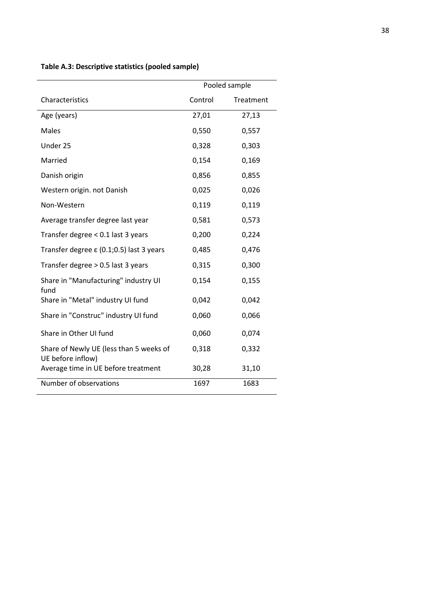|                                                              | Pooled sample |           |
|--------------------------------------------------------------|---------------|-----------|
| Characteristics                                              | Control       | Treatment |
| Age (years)                                                  | 27,01         | 27,13     |
| <b>Males</b>                                                 | 0,550         | 0,557     |
| Under 25                                                     | 0,328         | 0,303     |
| Married                                                      | 0,154         | 0,169     |
| Danish origin                                                | 0,856         | 0,855     |
| Western origin. not Danish                                   | 0,025         | 0,026     |
| Non-Western                                                  | 0,119         | 0,119     |
| Average transfer degree last year                            | 0,581         | 0,573     |
| Transfer degree < 0.1 last 3 years                           | 0,200         | 0,224     |
| Transfer degree ε (0.1;0.5) last 3 years                     | 0,485         | 0,476     |
| Transfer degree > 0.5 last 3 years                           | 0,315         | 0,300     |
| Share in "Manufacturing" industry UI<br>fund                 | 0,154         | 0,155     |
| Share in "Metal" industry UI fund                            | 0,042         | 0,042     |
| Share in "Construc" industry UI fund                         | 0,060         | 0,066     |
| Share in Other UI fund                                       | 0,060         | 0,074     |
| Share of Newly UE (less than 5 weeks of<br>UE before inflow) | 0,318         | 0,332     |
| Average time in UE before treatment                          | 30,28         | 31,10     |
| Number of observations                                       | 1697          | 1683      |

### Table A.3: Descriptive statistics (pooled sample)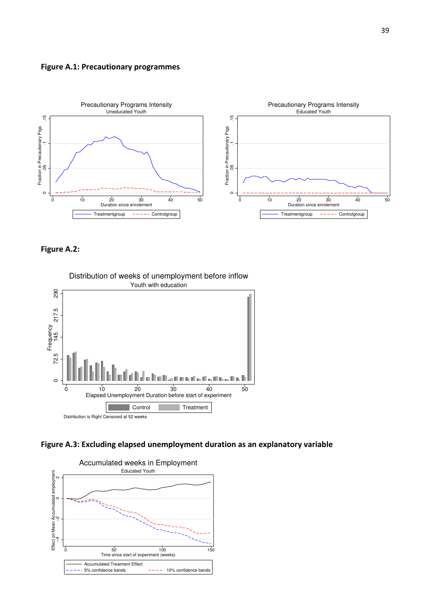#### Figure A.1: Precautionary programmes



Figure A.2: